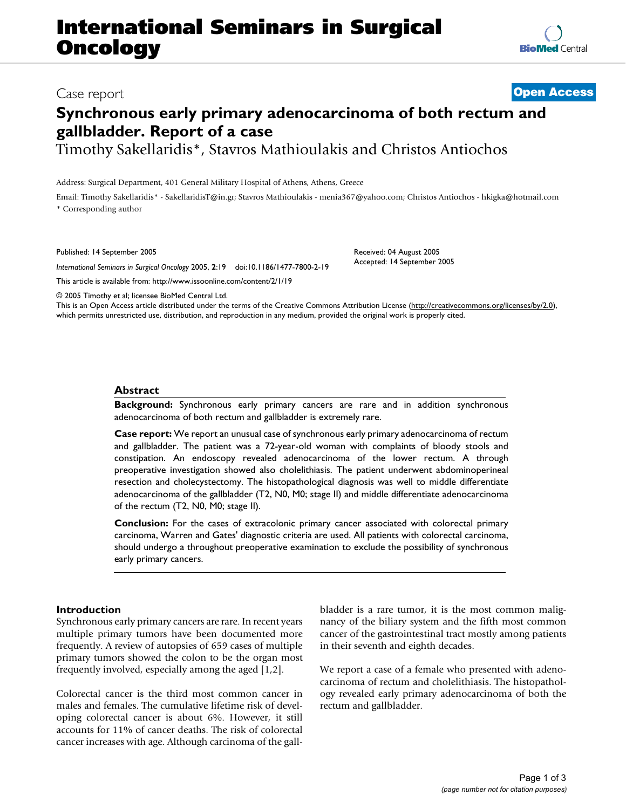# **International Seminars in Surgical Oncology**

## **Synchronous early primary adenocarcinoma of both rectum and gallbladder. Report of a case**

Timothy Sakellaridis\*, Stavros Mathioulakis and Christos Antiochos

Address: Surgical Department, 401 General Military Hospital of Athens, Athens, Greece

Email: Timothy Sakellaridis\* - SakellaridisT@in.gr; Stavros Mathioulakis - menia367@yahoo.com; Christos Antiochos - hkigka@hotmail.com \* Corresponding author

Published: 14 September 2005

*International Seminars in Surgical Oncology* 2005, **2**:19 doi:10.1186/1477-7800-2-19

[This article is available from: http://www.issoonline.com/content/2/1/19](http://www.issoonline.com/content/2/1/19)

© 2005 Timothy et al; licensee BioMed Central Ltd.

This is an Open Access article distributed under the terms of the Creative Commons Attribution License [\(http://creativecommons.org/licenses/by/2.0\)](http://creativecommons.org/licenses/by/2.0), which permits unrestricted use, distribution, and reproduction in any medium, provided the original work is properly cited.

### **Abstract**

**Background:** Synchronous early primary cancers are rare and in addition synchronous adenocarcinoma of both rectum and gallbladder is extremely rare.

**Case report:** We report an unusual case of synchronous early primary adenocarcinoma of rectum and gallbladder. The patient was a 72-year-old woman with complaints of bloody stools and constipation. An endoscopy revealed adenocarcinoma of the lower rectum. A through preoperative investigation showed also cholelithiasis. The patient underwent abdominoperineal resection and cholecystectomy. The histopathological diagnosis was well to middle differentiate adenocarcinoma of the gallbladder (T2, N0, M0; stage II) and middle differentiate adenocarcinoma of the rectum (T2, N0, M0; stage II).

**Conclusion:** For the cases of extracolonic primary cancer associated with colorectal primary carcinoma, Warren and Gates' diagnostic criteria are used. All patients with colorectal carcinoma, should undergo a throughout preoperative examination to exclude the possibility of synchronous early primary cancers.

#### **Introduction**

Synchronous early primary cancers are rare. In recent years multiple primary tumors have been documented more frequently. A review of autopsies of 659 cases of multiple primary tumors showed the colon to be the organ most frequently involved, especially among the aged [1,2].

Colorectal cancer is the third most common cancer in males and females. The cumulative lifetime risk of developing colorectal cancer is about 6%. However, it still accounts for 11% of cancer deaths. The risk of colorectal cancer increases with age. Although carcinoma of the gallbladder is a rare tumor, it is the most common malignancy of the biliary system and the fifth most common cancer of the gastrointestinal tract mostly among patients in their seventh and eighth decades.

We report a case of a female who presented with adenocarcinoma of rectum and cholelithiasis. The histopathology revealed early primary adenocarcinoma of both the rectum and gallbladder.



Received: 04 August 2005 Accepted: 14 September 2005

Case report **[Open Access](http://www.biomedcentral.com/info/about/charter/)**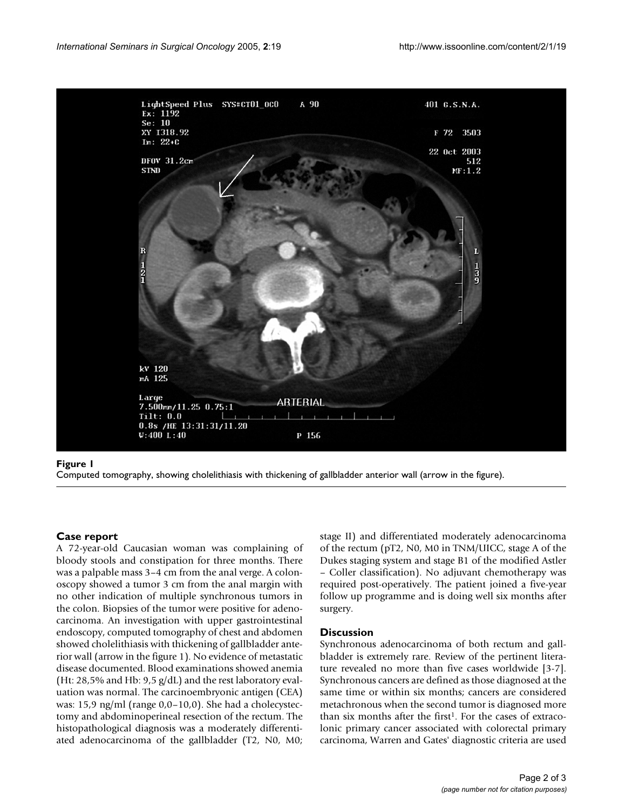

### Computed tomography, showing cholelithi **Figure 1** asis with thickening of gallbladder anterior wall (arrow in the figure)

Computed tomography, showing cholelithiasis with thickening of gallbladder anterior wall (arrow in the figure).

#### **Case report**

A 72-year-old Caucasian woman was complaining of bloody stools and constipation for three months. There was a palpable mass 3–4 cm from the anal verge. A colonoscopy showed a tumor 3 cm from the anal margin with no other indication of multiple synchronous tumors in the colon. Biopsies of the tumor were positive for adenocarcinoma. An investigation with upper gastrointestinal endoscopy, computed tomography of chest and abdomen showed cholelithiasis with thickening of gallbladder anterior wall (arrow in the figure 1). No evidence of metastatic disease documented. Blood examinations showed anemia (Ht: 28,5% and Hb: 9,5 g/dL) and the rest laboratory evaluation was normal. The carcinoembryonic antigen (CEA) was: 15,9 ng/ml (range 0,0–10,0). She had a cholecystectomy and abdominoperineal resection of the rectum. The histopathological diagnosis was a moderately differentiated adenocarcinoma of the gallbladder (T2, N0, M0; stage II) and differentiated moderately adenocarcinoma of the rectum (pT2, N0, M0 in TNM/UICC, stage A of the Dukes staging system and stage B1 of the modified Astler – Coller classification). No adjuvant chemotherapy was required post-operatively. The patient joined a five-year follow up programme and is doing well six months after surgery.

#### **Discussion**

Synchronous adenocarcinoma of both rectum and gallbladder is extremely rare. Review of the pertinent literature revealed no more than five cases worldwide [3-7]. Synchronous cancers are defined as those diagnosed at the same time or within six months; cancers are considered metachronous when the second tumor is diagnosed more than six months after the first<sup>1</sup>. For the cases of extracolonic primary cancer associated with colorectal primary carcinoma, Warren and Gates' diagnostic criteria are used